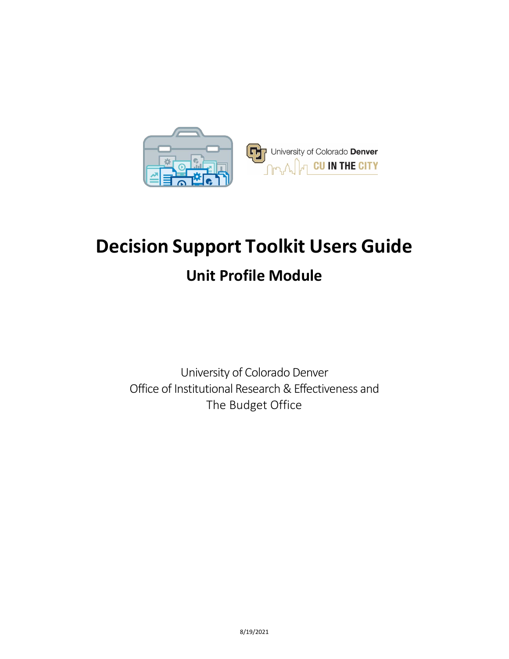

# **Decision Support Toolkit Users Guide Unit Profile Module**

University of Colorado Denver Office of Institutional Research & Effectiveness and The Budget Office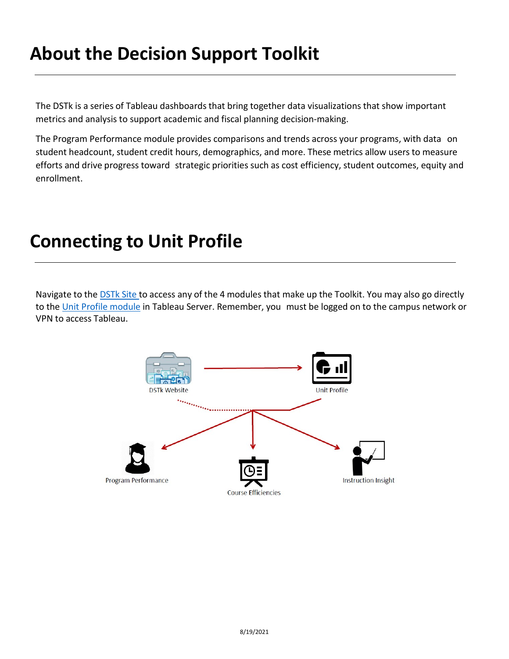### **About the Decision Support Toolkit**

The DSTk is a series of Tableau dashboards that bring together data visualizations that show important metrics and analysis to support academic and fiscal planning decision-making.

The Program Performance module provides comparisons and trends across your programs, with data on student headcount, student credit hours, demographics, and more. These metrics allow users to measure efforts and drive progress toward strategic priorities such as cost efficiency, student outcomes, equity and enrollment.

### **Connecting to Unit Profile**

Navigate to the **[DSTk](https://www1.ucdenver.edu/offices/institutional-research-and-effectiveness/decision-support-toolkit) Site to access any of the 4 modules that make up the Toolkit. You may also go directly** to the [Unit Profile module](https://tableau.ucdenver.edu/#/site/University/views/DSTkUnitProfile/UnitProfileSchoolCollegeOverview?:iid=1) in Tableau Server. Remember, you must be logged on to the campus network or VPN to access Tableau.

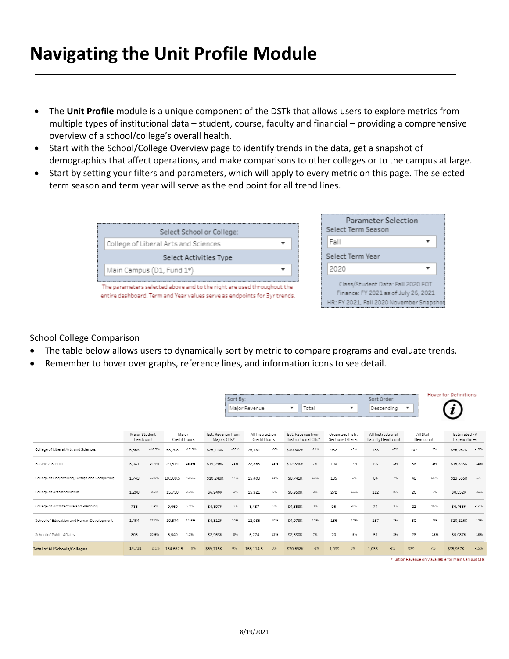### **Navigating the Unit Profile Module**

- The **Unit Profile** module is a unique component of the DSTk that allows users to explore metrics from multiple types of institutional data – student, course, faculty and financial – providing a comprehensive overview of a school/college's overall health.
- Start with the School/College Overview page to identify trends in the data, get a snapshot of demographics that affect operations, and make comparisons to other colleges or to the campus at large.
- Start by setting your filters and parameters, which will apply to every metric on this page. The selected term season and term year will serve as the end point for all trend lines.

|                                                                                                                                                     | Parameter Selection                                                                                                   |
|-----------------------------------------------------------------------------------------------------------------------------------------------------|-----------------------------------------------------------------------------------------------------------------------|
| Select School or College:                                                                                                                           | Select Term Season                                                                                                    |
| College of Liberal Arts and Sciences                                                                                                                | Fall                                                                                                                  |
| Select Activities Type                                                                                                                              | Select Term Year                                                                                                      |
| Main Campus (D1, Fund 1*)                                                                                                                           | 2020                                                                                                                  |
| The parameters selected above and to the right are used throughout the<br>entire dashboard. Term and Year values serve as endpoints for 3yr trends. | Class/Student Data: Fall 2020 EOT<br>Finance: FY 2021 as of July 26, 2021<br>HR: FY 2021, Fall 2020 November Snapshot |

#### School College Comparison

- The table below allows users to dynamically sort by metric to compare programs and evaluate trends.
- Remember to hover over graphs, reference lines, and information icons to see detail.

|                                              |                            |          |                       |          |                                  | Sort By: |                                 |        |                                         |         |                                      |       | Sort Order:       |                   |     |                        | <b>Hover for Definitions</b>                        |         |
|----------------------------------------------|----------------------------|----------|-----------------------|----------|----------------------------------|----------|---------------------------------|--------|-----------------------------------------|---------|--------------------------------------|-------|-------------------|-------------------|-----|------------------------|-----------------------------------------------------|---------|
|                                              |                            |          |                       |          |                                  |          | Major Revenue                   |        | ▼                                       | Total   |                                      | ▼     |                   | Descending        | ▼   |                        |                                                     |         |
|                                              | Major Student<br>Headcount |          | Major<br>Credit Hours |          | Est. Revenue from<br>Majors CHs* |          | All Instruction<br>Credit Hours |        | Est. Revenue from<br>Instructional CHs* |         | Organized Instr.<br>Sections Offered |       | All Instructional | Faculty Headcount |     | All Staff<br>Headcount | Estimated FY<br>Expenditures                        |         |
| College of Liberal Arts and Sciences         | 5,563                      | $-16.3%$ | 63.208                | $-17.5%$ | \$25,410K                        | $-20%$   | 76,181                          | $-996$ | \$30,802K                               | $-1196$ | 932                                  | $-2%$ | 438               | $-5%$             | 107 | 9%                     | \$36,967K                                           | $-1896$ |
| <b>Business School</b>                       | 3,081                      | 24.4%    | 29,514                | 25.9%    | \$14,946K                        | 18%      | 22,863                          | 13%    | \$12,340K                               | 7%      | 198                                  | $-7%$ | 107               | 1%                | 58  | 2%                     | \$15,343K                                           | $-18%$  |
| College of Engineering, Design and Computing | 1.743                      | 33.9%    | 19,388.5              | 42.6%    | \$10,248K                        | 44%      | 15,403                          | 11%    | \$8,741K                                | 16%     | 185                                  | 1%    | 84                | $-7%$             | 48  | 55%                    | \$13,555K                                           | $-196$  |
| College of Arts and Media                    | 1,298                      | $-0.2%$  | 15,750                | 0.3%     | \$6,940K                         | $-196$   | 15,921                          | 5%     | \$6,950K                                | 3%      | 272                                  | 16%   | 112               | 8%                | 26  | $-7%$                  | \$8,352K                                            | $-21%$  |
| College of Architecture and Planning         | 786                        | 8.4%     | 9.669                 | 6.9%     | \$4,897K                         | 6%       | 8,437                           | 5%     | \$4,358K                                | 3%      | 96                                   | $-8%$ | 74                | 3%                | 22  | 16%                    | \$6,466K                                            | $-1296$ |
| School of Education and Human Development    | 1,454                      | 17.0%    | 10,574                | 11.6%    | \$4,312K                         | 10%      | 12,036                          | 10%    | \$4,978K                                | 10%     | 186                                  | 10%   | 167               | 3%                | 50  | $-2%$                  | \$10,216K                                           | $-1296$ |
| School of Public Affairs                     | 806                        | 10.6%    | 6,549                 | 4.2%     | \$2,963K                         | $-3%$    | 5,274                           | 12%    | \$2,530K                                | 7%      | 70                                   | $-5%$ | 51                | 2%                | 28  | $-15%$                 | \$5,087K                                            | $-18%$  |
| <b>Total of All Schools/Colleges</b>         | 14,731                     | 2.1%     | 154,652.5             | 0%       | \$69,715K                        | 0%       | 156,114.5                       | 0%     | \$70,698K                               | $-1%$   | 1,939                                | 0%    | 1,033             | $-1%$             | 339 | 7%                     | \$95,987K                                           | $-15%$  |
|                                              |                            |          |                       |          |                                  |          |                                 |        |                                         |         |                                      |       |                   |                   |     |                        | STuition Payanus only available for Main Campus CHs |         |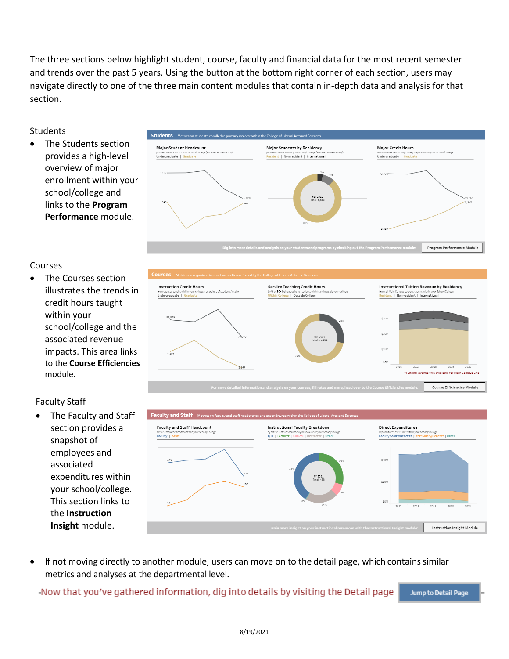The three sections below highlight student, course, faculty and financial data for the most recent semester and trends over the past 5 years. Using the button at the bottom right corner of each section, users may navigate directly to one of the three main content modules that contain in-depth data and analysis for that section.

#### Students

The Students section provides a high-level overview of major enrollment within your school/college and links to the **Program Performance** module.



#### Courses

• The Courses section illustrates the trends in credit hours taught within your school/college and the associated revenue impacts. This area links to the **Course Efficiencies**  module.

### Faculty Staff

• The Faculty and Staff section provides a snapshot of employees and associated expenditures within your school/college. This section links to the **Instruction Insight** module.





If not moving directly to another module, users can move on to the detail page, which contains similar metrics and analyses at the departmental level.

-Now that you've gathered information, dig into details by visiting the Detail page

Jump to Detail Page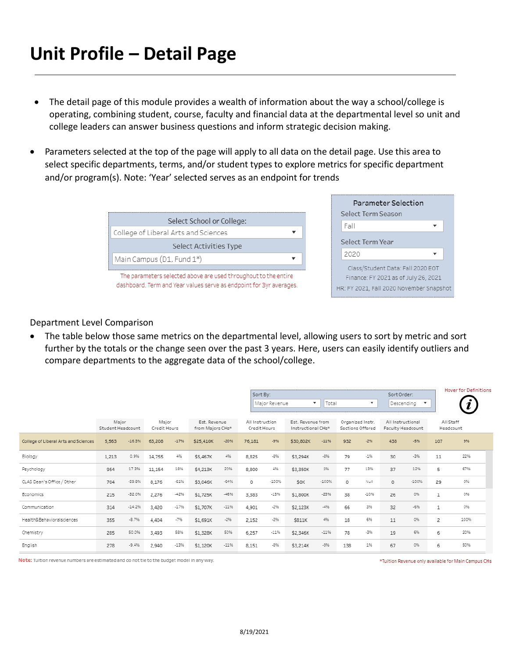## **Unit Profile – Detail Page**

- The detail page of this module provides a wealth of information about the way a school/college is operating, combining student, course, faculty and financial data at the departmental level so unit and college leaders can answer business questions and inform strategic decision making.
- Parameters selected at the top of the page will apply to all data on the detail page. Use this area to select specific departments, terms, and/or student types to explore metrics for specific department and/or program(s). Note: 'Year' selected serves as an endpoint for trends

|                                                                                                                                        | Parameter Selection<br>Select Term Season                                                                             |
|----------------------------------------------------------------------------------------------------------------------------------------|-----------------------------------------------------------------------------------------------------------------------|
| Select School or College:                                                                                                              | Fall                                                                                                                  |
| College of Liberal Arts and Sciences                                                                                                   |                                                                                                                       |
| Select Activities Type                                                                                                                 | Select Term Year                                                                                                      |
| Main Campus (D1, Fund 1*)                                                                                                              | 2020                                                                                                                  |
| The parameters selected above are used throughout to the entire<br>dashboard. Term and Year values serve as endpoint for 3yr averages. | Class/Student Data: Fall 2020 EOT<br>Finance: FY 2021 as of July 26, 2021<br>HR: FY 2021, Fall 2020 November Snapshot |

#### Department Level Comparison

• The table below those same metrics on the departmental level, allowing users to sort by metric and sort further by the totals or the change seen over the past 3 years. Here, users can easily identify outliers and compare departments to the aggregate data of the school/college.

|                                      |                            |          |                       |        |                                  |         | Sort By:                        | Major Revenue | ۰.                                      | Total   |                                      | $\overline{\phantom{a}}$ | Sort Order:<br>Descending              | $\boldsymbol{\mathrm{v}}$ |                        | <b>Hover for Definitions</b> |
|--------------------------------------|----------------------------|----------|-----------------------|--------|----------------------------------|---------|---------------------------------|---------------|-----------------------------------------|---------|--------------------------------------|--------------------------|----------------------------------------|---------------------------|------------------------|------------------------------|
|                                      | Major<br>Student Headcount |          | Major<br>Credit Hours |        | Est. Revenue<br>from Majors CHs* |         | All Instruction<br>Credit Hours |               | Est. Revenue from<br>Instructional CHs* |         | Organized Instr.<br>Sections Offered |                          | All Instructional<br>Faculty Headcount |                           | All Staff<br>Headcount |                              |
| College of Liberal Arts and Sciences | 5,563                      | $-16.3%$ | 63,208                | $-17%$ | \$25,410K                        | $-20%$  | 76,181                          | $-996$        | \$30,802K                               | $-11%$  | 932                                  | $-296$                   | 438                                    | $-5%$                     | 107                    | 9%                           |
| Biology                              | 1,213                      | 0.9%     | 14,755                | 4%     | \$5,467K                         | 4%      | 8,825                           | $-8%$         | \$3,294K                                | $-8%$   | 79                                   | $-1%$                    | 30                                     | $-3%$                     | 11                     | 22%                          |
| Psychology                           | 954                        | 17.3%    | 11,154                | 18%    | \$4,213K                         | 20%     | 8,800                           | 4%            | \$3,350K                                | 1%      | 77                                   | 13%                      | 37                                     | 12%                       | 5                      | 67%                          |
| CLAS Dean's Office / Other           | 704                        | $-59.8%$ | 8,176                 | $-61%$ | \$3,046K                         | $-64%$  | $\circ$                         | $-100%$       | \$OK                                    | -100%   | $\circ$                              | Null                     | $\circ$                                | -100%                     | 29                     | 0%                           |
| Economics                            | 215                        | $-32.0%$ | 2,276                 | $-42%$ | \$1,725K                         | $-46%$  | 3,383                           | $-13%$        | \$1,800K                                | $-23%$  | 38                                   | $-10%$                   | 26                                     | 0%                        | 1                      | 0%                           |
| Communication                        | 314                        | $-14.2%$ | 3,420                 | $-17%$ | \$1,707K                         | $-11%$  | 4,901                           | $-2%$         | \$2,123K                                | $-4%$   | 66                                   | 3%                       | 32                                     | $-6%$                     | 1                      | 0%                           |
| Health&Behavioralsciences            | 355                        | $-8.7%$  | 4,404                 | $-7%$  | \$1,691K                         | $-2%$   | 2,152                           | $-2%$         | \$811K                                  | 4%      | 18                                   | 6%                       | 11                                     | 0%                        | 2                      | 100%                         |
| Chemistry                            | 285                        | 50.0%    | 3,493                 | 58%    | \$1,328K                         | 50%     | 6,257                           | $-11%$        | \$2,346K                                | $-1196$ | 78                                   | $-3%$                    | 19                                     | 6%                        | 6                      | 20%                          |
| English                              | 278                        | $-9.4%$  | 2,940                 | $-13%$ | \$1,120K                         | $-1196$ | 8,151                           | $-8%$         | \$3,214K                                | $-9%$   | 138                                  | 1%                       | 67                                     | 0%                        | 6                      | 50%                          |

Note: Tuition revenue numbers are estimated and do not tie to the budget model in any way.

\*Tuition Revenue only available for Main Campus CHs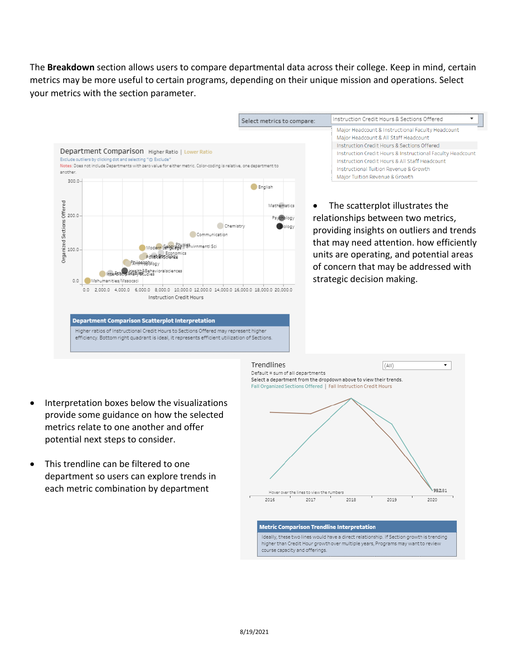The **Breakdown** section allows users to compare departmental data across their college. Keep in mind, certain metrics may be more useful to certain programs, depending on their unique mission and operations. Select your metrics with the section parameter.



- Interpretation boxes below the visualizations provide some guidance on how the selected metrics relate to one another and offer potential next steps to consider.
- This trendline can be filtered to one department so users can explore trends in each metric combination by department



#### **Metric Comparison Trendline Interpretation**

Ideally, these two lines would have a direct relationship. If Section growth is trending higher than Credit Hour growth over multiple years, Programs may want to review course capacity and offerings.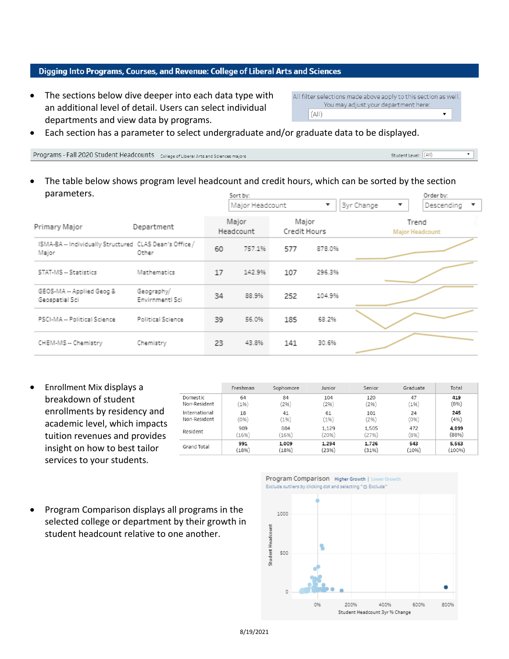#### Digging Into Programs, Courses, and Revenue: College of Liberal Arts and Sciences

• The sections below dive deeper into each data type with an additional level of detail. Users can select individual departments and view data by programs.

All filter selections made above apply to this section as well. You may adjust your department here:  $(A||)$  $\bullet$ 

• Each section has a parameter to select undergraduate and/or graduate data to be displayed.

Programs - Fall 2020 Student Headcounts College of Liberal Arts and Sciences majors

Student Level: (All) ▾⊺

The table below shows program level headcount and credit hours, which can be sorted by the section parameters. Sort by: Order by:

|                                                                  |                               |    | DUILDY.<br>Major Headcount |                       | ▼      | <b>3yr Change</b><br>$\overline{\phantom{a}}$ | OI UEI DY.<br>Descending<br>$\overline{\phantom{a}}$ |  |
|------------------------------------------------------------------|-------------------------------|----|----------------------------|-----------------------|--------|-----------------------------------------------|------------------------------------------------------|--|
| Primary Major                                                    | Department                    |    | Major<br>Headcount         | Major<br>Credit Hours |        |                                               | Trend<br><b>Major Headcount</b>                      |  |
| ISMA-BA -- Individually Structured CLAS Dean's Office /<br>Major | Other                         | 60 | 757.1%                     | 577                   | 878.0% |                                               |                                                      |  |
| STAT-MS -- Statistics                                            | Mathematics                   | 17 | 142.9%                     | 107                   | 296.3% |                                               |                                                      |  |
| GEOS-MA -- Applied Geog &<br>Geospatial Sci                      | Geography/<br>Envirnmentl Sci | 34 | 88.9%                      | 252                   | 104.9% |                                               |                                                      |  |
| PSCI-MA -- Political Science                                     | Political Science             | 39 | 56.0%                      | 185                   | 68.2%  |                                               |                                                      |  |
| CHEM-MS -- Chemistry                                             | Chemistry                     | 23 | 43.8%                      | 141                   | 30.6%  |                                               |                                                      |  |

• Enrollment Mix displays a breakdown of student enrollments by residency and academic level, which impacts tuition revenues and provides insight on how to best tailor services to your students.

|               | Freshman | Sophomore | Junior  | Senior | Graduate | Total  |
|---------------|----------|-----------|---------|--------|----------|--------|
| Domestic      | 64       | 84        | 104     | 120    | 47       | 419    |
| Non-Resident  | 196)     | 296)      | 2%      | 296)   | (196)    | (8%)   |
| International | 18       | 41        | 61      | 101    | 24       | 245    |
| Non-Resident  | (0%)     | (196)     | $1\%$ ) | 296)   | (0%      | (4%)   |
| Resident      | 909      | 884       | 1,129   | 1,505  | 472      | 4,899  |
|               | (16%)    | 16%)      | (2096)  | (27%)  | (8%)     | (88%)  |
| Grand Total   | 991      | 1,009     | 1,294   | 1,726  | 543      | 5,563  |
|               | (18%)    | (18%)     | (23%)   | (31%)  | (10%)    | (100%) |

• Program Comparison displays all programs in the selected college or department by their growth in student headcount relative to one another.

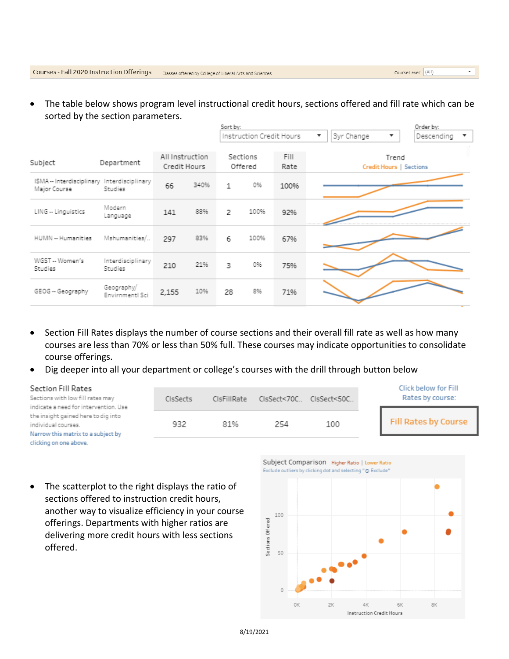• The table below shows program level instructional credit hours, sections offered and fill rate which can be sorted by the section parameters.

|                                                        |                                 |      | Sort by:            |      | Order by:    |                                                                          |                                  |  |
|--------------------------------------------------------|---------------------------------|------|---------------------|------|--------------|--------------------------------------------------------------------------|----------------------------------|--|
|                                                        |                                 |      |                     |      |              | <b>3yr Change</b><br>$\overline{\mathbf{v}}$<br>$\overline{\phantom{a}}$ | Descending<br>▼                  |  |
| Department                                             | All Instruction<br>Credit Hours |      | Sections<br>Offered |      | Fill<br>Rate |                                                                          | Trend<br>Credit Hours   Sections |  |
| ISMA -- Interdisciplinary Interdisciplinary<br>Studies | 66                              | 340% | 1                   | 0%   | 100%         |                                                                          |                                  |  |
| Modern<br>Language                                     | 141                             | 88%  | 2                   | 100% | 92%          |                                                                          |                                  |  |
| Mshumanities/                                          | 297                             | 83%  | 6                   | 100% | 67%          |                                                                          |                                  |  |
| Interdisciplinary<br>Studies                           | 210                             | 21%  | 3                   | 0%   | 75%          |                                                                          |                                  |  |
| Geography/<br>Envirnmentl Sci                          | 2,155                           | 10%  | 28                  | 8%   | 71%          |                                                                          |                                  |  |
|                                                        |                                 |      |                     |      |              | Instruction Credit Hours                                                 |                                  |  |

- Section Fill Rates displays the number of course sections and their overall fill rate as well as how many courses are less than 70% or less than 50% full. These courses may indicate opportunities to consolidate course offerings.
- Dig deeper into all your department or college's courses with the drill through button below

| Section Fill Rates<br>Sections with low fill rates may<br>indicate a need for intervention. Use  | <b>CIsSects</b> | CIsFillRate |     | CIsSect<70C CIsSect<50C | Click below for Fill<br>Rates by course: |
|--------------------------------------------------------------------------------------------------|-----------------|-------------|-----|-------------------------|------------------------------------------|
| the insight gained here to dig into<br>individual courses.<br>Narrow this matrix to a subject by | 932             | 81%         | 254 | 100                     | Fill Rates by Course                     |

clicking on one above.

• The scatterplot to the right displays the ratio of sections offered to instruction credit hours, another way to visualize efficiency in your course offerings. Departments with higher ratios are delivering more credit hours with less sections offered.



Course Level: (All)

 $\bullet$